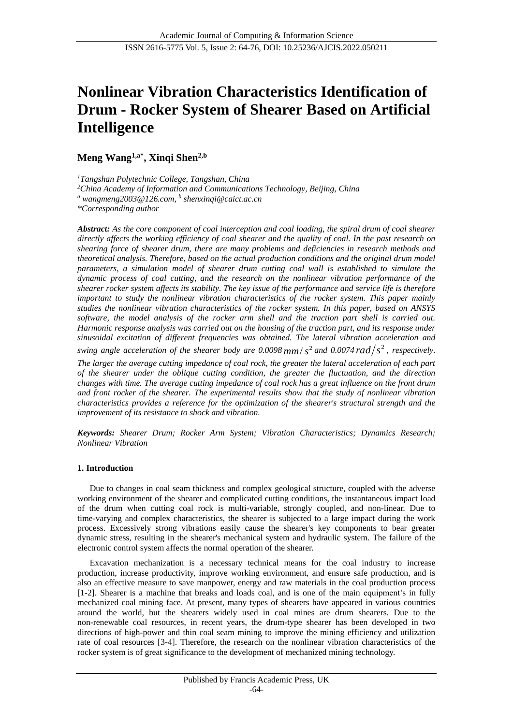# **Nonlinear Vibration Characteristics Identification of Drum - Rocker System of Shearer Based on Artificial Intelligence**

**Meng Wang1,a\*, Xinqi Shen2,b**

*<sup>1</sup>Tangshan Polytechnic College, Tangshan, China*

*<sup>2</sup>China Academy of Information and Communications Technology, Beijing, China*

*<sup>a</sup> wangmeng2003@126.com, b shenxinqi@caict.ac.cn*

*\*Corresponding author*

*Abstract: As the core component of coal interception and coal loading, the spiral drum of coal shearer directly affects the working efficiency of coal shearer and the quality of coal. In the past research on shearing force of shearer drum, there are many problems and deficiencies in research methods and theoretical analysis. Therefore, based on the actual production conditions and the original drum model parameters, a simulation model of shearer drum cutting coal wall is established to simulate the dynamic process of coal cutting, and the research on the nonlinear vibration performance of the shearer rocker system affects its stability. The key issue of the performance and service life is therefore important to study the nonlinear vibration characteristics of the rocker system. This paper mainly studies the nonlinear vibration characteristics of the rocker system. In this paper, based on ANSYS software, the model analysis of the rocker arm shell and the traction part shell is carried out. Harmonic response analysis was carried out on the housing of the traction part, and its response under sinusoidal excitation of different frequencies was obtained. The lateral vibration acceleration and swing angle acceleration of the shearer body are 0.0098*  $mm/s^2$  *and 0.0074*  $rad/s^2$ *, respectively.* 

*The larger the average cutting impedance of coal rock, the greater the lateral acceleration of each part of the shearer under the oblique cutting condition, the greater the fluctuation, and the direction changes with time. The average cutting impedance of coal rock has a great influence on the front drum and front rocker of the shearer. The experimental results show that the study of nonlinear vibration characteristics provides a reference for the optimization of the shearer's structural strength and the improvement of its resistance to shock and vibration.*

*Keywords: Shearer Drum; Rocker Arm System; Vibration Characteristics; Dynamics Research; Nonlinear Vibration*

## **1. Introduction**

Due to changes in coal seam thickness and complex geological structure, coupled with the adverse working environment of the shearer and complicated cutting conditions, the instantaneous impact load of the drum when cutting coal rock is multi-variable, strongly coupled, and non-linear. Due to time-varying and complex characteristics, the shearer is subjected to a large impact during the work process. Excessively strong vibrations easily cause the shearer's key components to bear greater dynamic stress, resulting in the shearer's mechanical system and hydraulic system. The failure of the electronic control system affects the normal operation of the shearer.

Excavation mechanization is a necessary technical means for the coal industry to increase production, increase productivity, improve working environment, and ensure safe production, and is also an effective measure to save manpower, energy and raw materials in the coal production process [1-2]. Shearer is a machine that breaks and loads coal, and is one of the main equipment's in fully mechanized coal mining face. At present, many types of shearers have appeared in various countries around the world, but the shearers widely used in coal mines are drum shearers. Due to the non-renewable coal resources, in recent years, the drum-type shearer has been developed in two directions of high-power and thin coal seam mining to improve the mining efficiency and utilization rate of coal resources [3-4]. Therefore, the research on the nonlinear vibration characteristics of the rocker system is of great significance to the development of mechanized mining technology.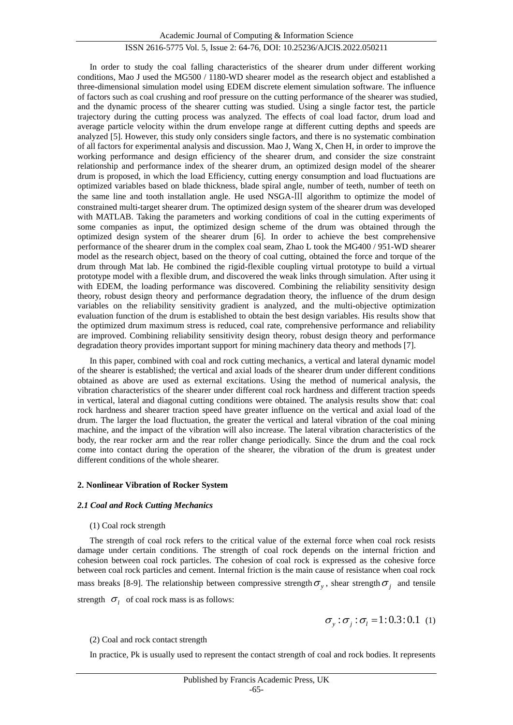In order to study the coal falling characteristics of the shearer drum under different working conditions, Mao J used the MG500 / 1180-WD shearer model as the research object and established a three-dimensional simulation model using EDEM discrete element simulation software. The influence of factors such as coal crushing and roof pressure on the cutting performance of the shearer was studied, and the dynamic process of the shearer cutting was studied. Using a single factor test, the particle trajectory during the cutting process was analyzed. The effects of coal load factor, drum load and average particle velocity within the drum envelope range at different cutting depths and speeds are analyzed [5]. However, this study only considers single factors, and there is no systematic combination of all factors for experimental analysis and discussion. Mao J, Wang X, Chen H, in order to improve the working performance and design efficiency of the shearer drum, and consider the size constraint relationship and performance index of the shearer drum, an optimized design model of the shearer drum is proposed, in which the load Efficiency, cutting energy consumption and load fluctuations are optimized variables based on blade thickness, blade spiral angle, number of teeth, number of teeth on the same line and tooth installation angle. He used NSGA-Ⅲ algorithm to optimize the model of constrained multi-target shearer drum. The optimized design system of the shearer drum was developed with MATLAB. Taking the parameters and working conditions of coal in the cutting experiments of some companies as input, the optimized design scheme of the drum was obtained through the optimized design system of the shearer drum [6]. In order to achieve the best comprehensive performance of the shearer drum in the complex coal seam, Zhao L took the MG400 / 951-WD shearer model as the research object, based on the theory of coal cutting, obtained the force and torque of the drum through Mat lab. He combined the rigid-flexible coupling virtual prototype to build a virtual prototype model with a flexible drum, and discovered the weak links through simulation. After using it with EDEM, the loading performance was discovered. Combining the reliability sensitivity design theory, robust design theory and performance degradation theory, the influence of the drum design variables on the reliability sensitivity gradient is analyzed, and the multi-objective optimization evaluation function of the drum is established to obtain the best design variables. His results show that the optimized drum maximum stress is reduced, coal rate, comprehensive performance and reliability are improved. Combining reliability sensitivity design theory, robust design theory and performance degradation theory provides important support for mining machinery data theory and methods [7].

In this paper, combined with coal and rock cutting mechanics, a vertical and lateral dynamic model of the shearer is established; the vertical and axial loads of the shearer drum under different conditions obtained as above are used as external excitations. Using the method of numerical analysis, the vibration characteristics of the shearer under different coal rock hardness and different traction speeds in vertical, lateral and diagonal cutting conditions were obtained. The analysis results show that: coal rock hardness and shearer traction speed have greater influence on the vertical and axial load of the drum. The larger the load fluctuation, the greater the vertical and lateral vibration of the coal mining machine, and the impact of the vibration will also increase. The lateral vibration characteristics of the body, the rear rocker arm and the rear roller change periodically. Since the drum and the coal rock come into contact during the operation of the shearer, the vibration of the drum is greatest under different conditions of the whole shearer.

#### **2. Nonlinear Vibration of Rocker System**

## *2.1 Coal and Rock Cutting Mechanics*

#### (1) Coal rock strength

The strength of coal rock refers to the critical value of the external force when coal rock resists damage under certain conditions. The strength of coal rock depends on the internal friction and cohesion between coal rock particles. The cohesion of coal rock is expressed as the cohesive force between coal rock particles and cement. Internal friction is the main cause of resistance when coal rock mass breaks [8-9]. The relationship between compressive strength  $\sigma_{y}$ , shear strength  $\sigma_{j}$  and tensile strength  $\sigma_l$  of coal rock mass is as follows:

$$
\sigma_y : \sigma_j : \sigma_l = 1 : 0.3 : 0.1 \tag{1}
$$

#### (2) Coal and rock contact strength

In practice, Pk is usually used to represent the contact strength of coal and rock bodies. It represents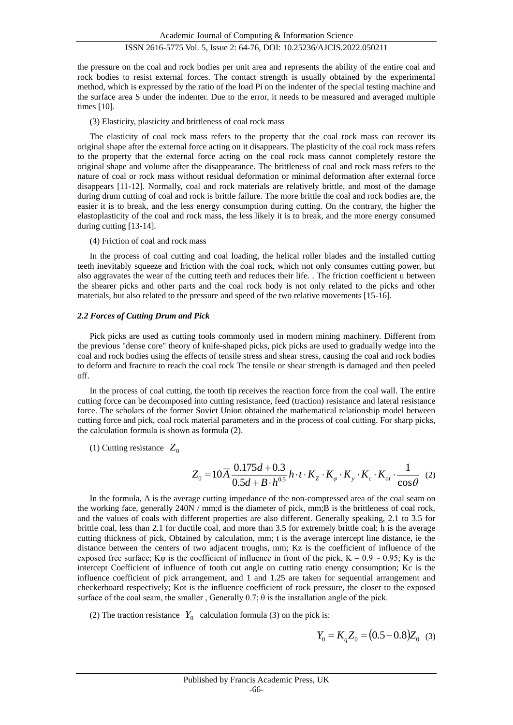the pressure on the coal and rock bodies per unit area and represents the ability of the entire coal and rock bodies to resist external forces. The contact strength is usually obtained by the experimental method, which is expressed by the ratio of the load Pi on the indenter of the special testing machine and the surface area S under the indenter. Due to the error, it needs to be measured and averaged multiple times [10].

#### (3) Elasticity, plasticity and brittleness of coal rock mass

The elasticity of coal rock mass refers to the property that the coal rock mass can recover its original shape after the external force acting on it disappears. The plasticity of the coal rock mass refers to the property that the external force acting on the coal rock mass cannot completely restore the original shape and volume after the disappearance. The brittleness of coal and rock mass refers to the nature of coal or rock mass without residual deformation or minimal deformation after external force disappears [11-12]. Normally, coal and rock materials are relatively brittle, and most of the damage during drum cutting of coal and rock is brittle failure. The more brittle the coal and rock bodies are, the easier it is to break, and the less energy consumption during cutting. On the contrary, the higher the elastoplasticity of the coal and rock mass, the less likely it is to break, and the more energy consumed during cutting [13-14].

#### (4) Friction of coal and rock mass

In the process of coal cutting and coal loading, the helical roller blades and the installed cutting teeth inevitably squeeze and friction with the coal rock, which not only consumes cutting power, but also aggravates the wear of the cutting teeth and reduces their life. . The friction coefficient u between the shearer picks and other parts and the coal rock body is not only related to the picks and other materials, but also related to the pressure and speed of the two relative movements [15-16].

#### *2.2 Forces of Cutting Drum and Pick*

Pick picks are used as cutting tools commonly used in modern mining machinery. Different from the previous "dense core" theory of knife-shaped picks, pick picks are used to gradually wedge into the coal and rock bodies using the effects of tensile stress and shear stress, causing the coal and rock bodies to deform and fracture to reach the coal rock The tensile or shear strength is damaged and then peeled off.

In the process of coal cutting, the tooth tip receives the reaction force from the coal wall. The entire cutting force can be decomposed into cutting resistance, feed (traction) resistance and lateral resistance force. The scholars of the former Soviet Union obtained the mathematical relationship model between cutting force and pick, coal rock material parameters and in the process of coal cutting. For sharp picks, the calculation formula is shown as formula (2).

## $(1)$  Cutting resistance  $Z_0$

$$
Z_0 = 10\overline{A} \frac{0.175d + 0.3}{0.5d + B \cdot h^{0.5}} h \cdot t \cdot K_z \cdot K_{\varphi} \cdot K_y \cdot K_c \cdot K_{\text{ot}} \cdot \frac{1}{\cos \theta} \tag{2}
$$

In the formula, A is the average cutting impedance of the non-compressed area of the coal seam on the working face, generally 240N / mm;d is the diameter of pick, mm;B is the brittleness of coal rock, and the values of coals with different properties are also different. Generally speaking, 2.1 to 3.5 for brittle coal, less than 2.1 for ductile coal, and more than 3.5 for extremely brittle coal; h is the average cutting thickness of pick, Obtained by calculation, mm; t is the average intercept line distance, ie the distance between the centers of two adjacent troughs, mm; Kz is the coefficient of influence of the exposed free surface; K<sub>Q</sub> is the coefficient of influence in front of the pick, K =  $0.9 \sim 0.95$ ; Ky is the intercept Coefficient of influence of tooth cut angle on cutting ratio energy consumption; Kc is the influence coefficient of pick arrangement, and 1 and 1.25 are taken for sequential arrangement and checkerboard respectively; Kot is the influence coefficient of rock pressure, the closer to the exposed surface of the coal seam, the smaller, Generally  $0.7$ ;  $\theta$  is the installation angle of the pick.

(2) The traction resistance  $Y_0$  calculation formula (3) on the pick is:

$$
Y_0 = K_q Z_0 = (0.5 - 0.8) Z_0
$$
 (3)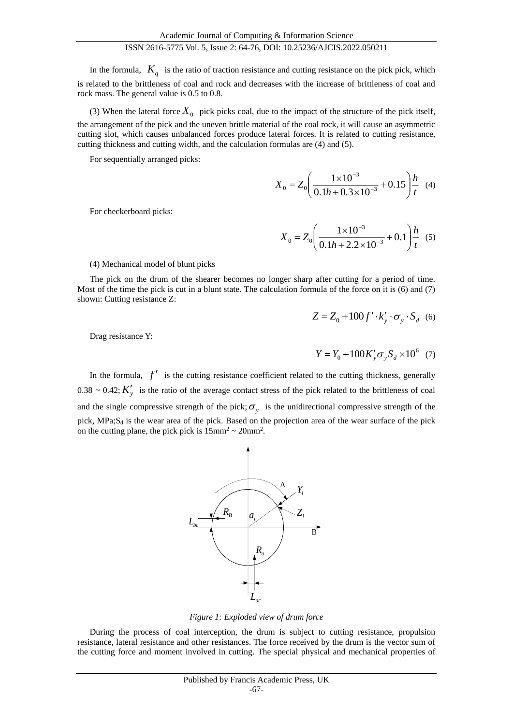In the formula,  $K_q$  is the ratio of traction resistance and cutting resistance on the pick pick, which is related to the brittleness of coal and rock and decreases with the increase of brittleness of coal and rock mass. The general value is 0.5 to 0.8.

(3) When the lateral force  $X_0$  pick picks coal, due to the impact of the structure of the pick itself, the arrangement of the pick and the uneven brittle material of the coal rock, it will cause an asymmetric cutting slot, which causes unbalanced forces produce lateral forces. It is related to cutting resistance, cutting thickness and cutting width, and the calculation formulas are (4) and (5).

For sequentially arranged picks:

$$
X_0 = Z_0 \left( \frac{1 \times 10^{-3}}{0.1h + 0.3 \times 10^{-3}} + 0.15 \right) \frac{h}{t}
$$
 (4)

For checkerboard picks:

$$
X_0 = Z_0 \left( \frac{1 \times 10^{-3}}{0.1h + 2.2 \times 10^{-3}} + 0.1 \right) \frac{h}{t}
$$
 (5)

#### (4) Mechanical model of blunt picks

The pick on the drum of the shearer becomes no longer sharp after cutting for a period of time. Most of the time the pick is cut in a blunt state. The calculation formula of the force on it is (6) and (7) shown: Cutting resistance Z:

$$
Z = Z_0 + 100 f' \cdot k'_y \cdot \sigma_y \cdot S_d
$$
 (6)

Drag resistance Y:

$$
Y = Y_0 + 100 K_y' \sigma_y S_d \times 10^6 \quad (7)
$$

In the formula,  $f'$  is the cutting resistance coefficient related to the cutting thickness, generally  $0.38 \sim 0.42$ ;  $K'_y$  is the ratio of the average contact stress of the pick related to the brittleness of coal and the single compressive strength of the pick;  $\sigma_y$  is the unidirectional compressive strength of the pick,  $MPa; S<sub>d</sub>$  is the wear area of the pick. Based on the projection area of the wear surface of the pick on the cutting plane, the pick pick is  $15 \text{mm}^2 \sim 20 \text{mm}^2$ .



*Figure 1: Exploded view of drum force*

During the process of coal interception, the drum is subject to cutting resistance, propulsion resistance, lateral resistance and other resistances. The force received by the drum is the vector sum of the cutting force and moment involved in cutting. The special physical and mechanical properties of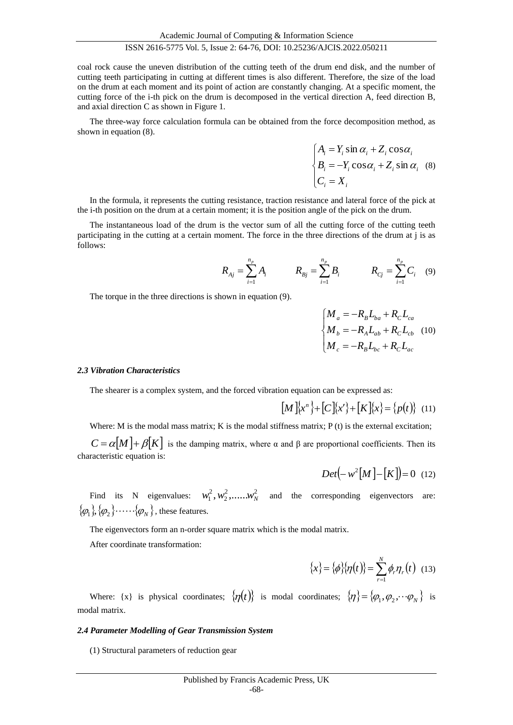coal rock cause the uneven distribution of the cutting teeth of the drum end disk, and the number of cutting teeth participating in cutting at different times is also different. Therefore, the size of the load on the drum at each moment and its point of action are constantly changing. At a specific moment, the cutting force of the i-th pick on the drum is decomposed in the vertical direction A, feed direction B, and axial direction C as shown in Figure 1.

The three-way force calculation formula can be obtained from the force decomposition method, as shown in equation (8).

$$
\begin{cases}\nA_i = Y_i \sin \alpha_i + Z_i \cos \alpha_i \\
B_i = -Y_i \cos \alpha_i + Z_i \sin \alpha_i\n\end{cases}
$$
\n(8)

In the formula, it represents the cutting resistance, traction resistance and lateral force of the pick at the i-th position on the drum at a certain moment; it is the position angle of the pick on the drum.

The instantaneous load of the drum is the vector sum of all the cutting force of the cutting teeth participating in the cutting at a certain moment. The force in the three directions of the drum at j is as follows:

$$
R_{Aj} = \sum_{i=1}^{n_p} A_i \qquad R_{Bj} = \sum_{i=1}^{n_p} B_i \qquad R_{Cj} = \sum_{i=1}^{n_p} C_i \quad (9)
$$

The torque in the three directions is shown in equation (9).

$$
\begin{cases}\nM_a = -R_B L_{ba} + R_C L_{ca} \\
M_b = -R_A L_{ab} + R_C L_{cb} \\
M_c = -R_B L_{bc} + R_C L_{ac}\n\end{cases}
$$
\n(10)

#### *2.3 Vibration Characteristics*

The shearer is a complex system, and the forced vibration equation can be expressed as:

$$
[M]\{x^n\} + [C]\{x'\} + [K]\{x\} = \{p(t)\} \quad (11)
$$

Where: M is the modal mass matrix; K is the modal stiffness matrix;  $P(t)$  is the external excitation;

 $C = \alpha[M] + \beta[K]$  is the damping matrix, where  $\alpha$  and  $\beta$  are proportional coefficients. Then its characteristic equation is:

$$
Det\left(-w^2[M] - [K]\right) = 0 \quad (12)
$$

Find its N eigenvalues:  $w_1^2, w_2^2, \dots, w_N^2$ 2 2  $w_1^2, w_2^2, \dots, w_N^2$  and the corresponding eigenvectors are:  $\{\varphi_{_{1}}\},\{\varphi_{_{2}}\},\ldots\ldots\{ \varphi_{_{N}}\}$  , these features.

The eigenvectors form an n-order square matrix which is the modal matrix.

After coordinate transformation:

$$
\{x\} = \{\phi\} \{\eta(t)\} = \sum_{r=1}^{N} \phi_r \eta_r(t) \quad (13)
$$

Where:  $\{x\}$  is physical coordinates;  $\{\eta(t)\}\$ is modal coordinates;  $\{\eta\} = \{\varphi_1, \varphi_2, \dots \varphi_N\}$  is modal matrix.

#### *2.4 Parameter Modelling of Gear Transmission System*

(1) Structural parameters of reduction gear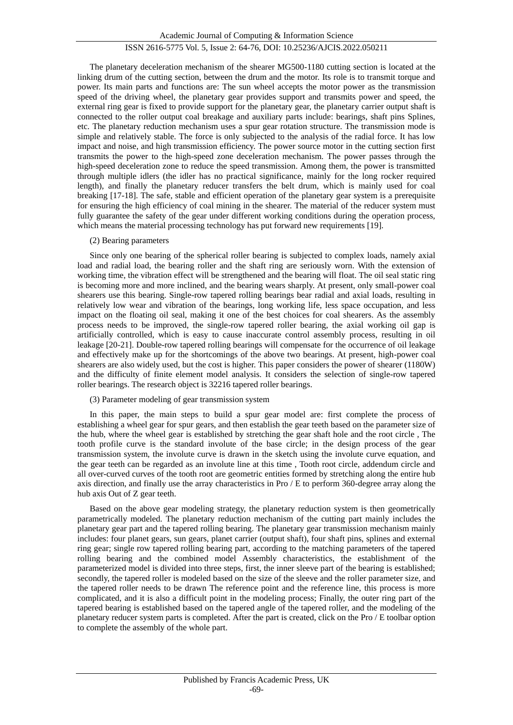The planetary deceleration mechanism of the shearer MG500-1180 cutting section is located at the linking drum of the cutting section, between the drum and the motor. Its role is to transmit torque and power. Its main parts and functions are: The sun wheel accepts the motor power as the transmission speed of the driving wheel, the planetary gear provides support and transmits power and speed, the external ring gear is fixed to provide support for the planetary gear, the planetary carrier output shaft is connected to the roller output coal breakage and auxiliary parts include: bearings, shaft pins Splines, etc. The planetary reduction mechanism uses a spur gear rotation structure. The transmission mode is simple and relatively stable. The force is only subjected to the analysis of the radial force. It has low impact and noise, and high transmission efficiency. The power source motor in the cutting section first transmits the power to the high-speed zone deceleration mechanism. The power passes through the high-speed deceleration zone to reduce the speed transmission. Among them, the power is transmitted through multiple idlers (the idler has no practical significance, mainly for the long rocker required length), and finally the planetary reducer transfers the belt drum, which is mainly used for coal breaking [17-18]. The safe, stable and efficient operation of the planetary gear system is a prerequisite for ensuring the high efficiency of coal mining in the shearer. The material of the reducer system must fully guarantee the safety of the gear under different working conditions during the operation process, which means the material processing technology has put forward new requirements [19].

## (2) Bearing parameters

Since only one bearing of the spherical roller bearing is subjected to complex loads, namely axial load and radial load, the bearing roller and the shaft ring are seriously worn. With the extension of working time, the vibration effect will be strengthened and the bearing will float. The oil seal static ring is becoming more and more inclined, and the bearing wears sharply. At present, only small-power coal shearers use this bearing. Single-row tapered rolling bearings bear radial and axial loads, resulting in relatively low wear and vibration of the bearings, long working life, less space occupation, and less impact on the floating oil seal, making it one of the best choices for coal shearers. As the assembly process needs to be improved, the single-row tapered roller bearing, the axial working oil gap is artificially controlled, which is easy to cause inaccurate control assembly process, resulting in oil leakage [20-21]. Double-row tapered rolling bearings will compensate for the occurrence of oil leakage and effectively make up for the shortcomings of the above two bearings. At present, high-power coal shearers are also widely used, but the cost is higher. This paper considers the power of shearer (1180W) and the difficulty of finite element model analysis. It considers the selection of single-row tapered roller bearings. The research object is 32216 tapered roller bearings.

## (3) Parameter modeling of gear transmission system

In this paper, the main steps to build a spur gear model are: first complete the process of establishing a wheel gear for spur gears, and then establish the gear teeth based on the parameter size of the hub, where the wheel gear is established by stretching the gear shaft hole and the root circle , The tooth profile curve is the standard involute of the base circle; in the design process of the gear transmission system, the involute curve is drawn in the sketch using the involute curve equation, and the gear teeth can be regarded as an involute line at this time , Tooth root circle, addendum circle and all over-curved curves of the tooth root are geometric entities formed by stretching along the entire hub axis direction, and finally use the array characteristics in Pro / E to perform 360-degree array along the hub axis Out of Z gear teeth.

Based on the above gear modeling strategy, the planetary reduction system is then geometrically parametrically modeled. The planetary reduction mechanism of the cutting part mainly includes the planetary gear part and the tapered rolling bearing. The planetary gear transmission mechanism mainly includes: four planet gears, sun gears, planet carrier (output shaft), four shaft pins, splines and external ring gear; single row tapered rolling bearing part, according to the matching parameters of the tapered rolling bearing and the combined model Assembly characteristics, the establishment of the parameterized model is divided into three steps, first, the inner sleeve part of the bearing is established; secondly, the tapered roller is modeled based on the size of the sleeve and the roller parameter size, and the tapered roller needs to be drawn The reference point and the reference line, this process is more complicated, and it is also a difficult point in the modeling process; Finally, the outer ring part of the tapered bearing is established based on the tapered angle of the tapered roller, and the modeling of the planetary reducer system parts is completed. After the part is created, click on the Pro / E toolbar option to complete the assembly of the whole part.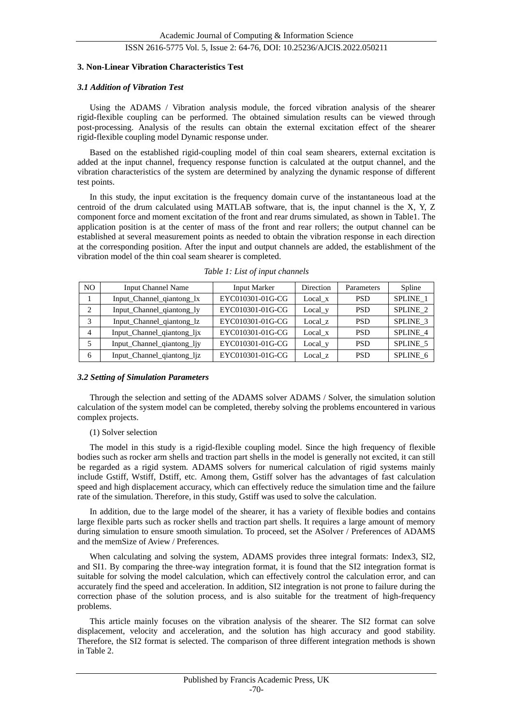#### **3. Non-Linear Vibration Characteristics Test**

#### *3.1 Addition of Vibration Test*

Using the ADAMS / Vibration analysis module, the forced vibration analysis of the shearer rigid-flexible coupling can be performed. The obtained simulation results can be viewed through post-processing. Analysis of the results can obtain the external excitation effect of the shearer rigid-flexible coupling model Dynamic response under.

Based on the established rigid-coupling model of thin coal seam shearers, external excitation is added at the input channel, frequency response function is calculated at the output channel, and the vibration characteristics of the system are determined by analyzing the dynamic response of different test points.

In this study, the input excitation is the frequency domain curve of the instantaneous load at the centroid of the drum calculated using MATLAB software, that is, the input channel is the X, Y, Z component force and moment excitation of the front and rear drums simulated, as shown in Table1. The application position is at the center of mass of the front and rear rollers; the output channel can be established at several measurement points as needed to obtain the vibration response in each direction at the corresponding position. After the input and output channels are added, the establishment of the vibration model of the thin coal seam shearer is completed.

| N <sub>O</sub> | <b>Input Channel Name</b>  | Input Marker     | Direction          | Parameters | Spline          |
|----------------|----------------------------|------------------|--------------------|------------|-----------------|
|                | Input_Channel_qiantong_lx  | EYC010301-01G-CG | Local x            | <b>PSD</b> | <b>SPLINE 1</b> |
| 2              | Input_Channel_qiantong_ly  | EYC010301-01G-CG | Local <sub>y</sub> | <b>PSD</b> | SPLINE 2        |
|                | Input_Channel_qiantong_lz  | EYC010301-01G-CG | Local z            | <b>PSD</b> | SPLINE 3        |
| $\overline{4}$ | Input_Channel_qiantong_ljx | EYC010301-01G-CG | Local x            | <b>PSD</b> | SPLINE 4        |
|                | Input_Channel_qiantong_ljy | EYC010301-01G-CG | $Local_y$          | <b>PSD</b> | SPLINE 5        |
| 6              | Input_Channel_qiantong_ljz | EYC010301-01G-CG | Local z            | <b>PSD</b> | SPLINE 6        |

*Table 1: List of input channels*

#### *3.2 Setting of Simulation Parameters*

Through the selection and setting of the ADAMS solver ADAMS / Solver, the simulation solution calculation of the system model can be completed, thereby solving the problems encountered in various complex projects.

#### (1) Solver selection

The model in this study is a rigid-flexible coupling model. Since the high frequency of flexible bodies such as rocker arm shells and traction part shells in the model is generally not excited, it can still be regarded as a rigid system. ADAMS solvers for numerical calculation of rigid systems mainly include Gstiff, Wstiff, Dstiff, etc. Among them, Gstiff solver has the advantages of fast calculation speed and high displacement accuracy, which can effectively reduce the simulation time and the failure rate of the simulation. Therefore, in this study, Gstiff was used to solve the calculation.

In addition, due to the large model of the shearer, it has a variety of flexible bodies and contains large flexible parts such as rocker shells and traction part shells. It requires a large amount of memory during simulation to ensure smooth simulation. To proceed, set the ASolver / Preferences of ADAMS and the memSize of Aview / Preferences.

When calculating and solving the system, ADAMS provides three integral formats: Index3, SI2, and SI1. By comparing the three-way integration format, it is found that the SI2 integration format is suitable for solving the model calculation, which can effectively control the calculation error, and can accurately find the speed and acceleration. In addition, SI2 integration is not prone to failure during the correction phase of the solution process, and is also suitable for the treatment of high-frequency problems.

This article mainly focuses on the vibration analysis of the shearer. The SI2 format can solve displacement, velocity and acceleration, and the solution has high accuracy and good stability. Therefore, the SI2 format is selected. The comparison of three different integration methods is shown in Table 2.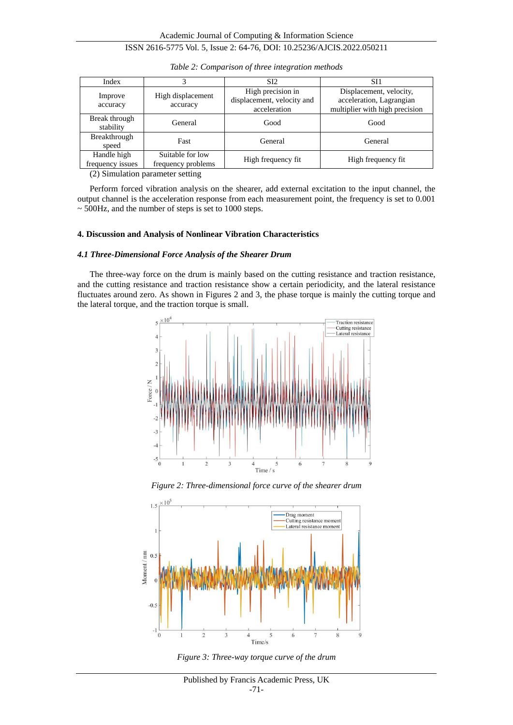| Index                           |                                        | SI <sub>2</sub>                                                 | SI1                                                                                   |  |
|---------------------------------|----------------------------------------|-----------------------------------------------------------------|---------------------------------------------------------------------------------------|--|
| Improve<br>accuracy             | High displacement<br>accuracy          | High precision in<br>displacement, velocity and<br>acceleration | Displacement, velocity,<br>acceleration, Lagrangian<br>multiplier with high precision |  |
| Break through<br>stability      | General                                | Good                                                            | Good                                                                                  |  |
| Breakthrough<br>speed           | Fast                                   | General                                                         | General                                                                               |  |
| Handle high<br>frequency issues | Suitable for low<br>frequency problems | High frequency fit.                                             | High frequency fit                                                                    |  |

*Table 2: Comparison of three integration methods*

(2) Simulation parameter setting

Perform forced vibration analysis on the shearer, add external excitation to the input channel, the output channel is the acceleration response from each measurement point, the frequency is set to 0.001 ~ 500Hz, and the number of steps is set to 1000 steps.

#### **4. Discussion and Analysis of Nonlinear Vibration Characteristics**

## *4.1 Three-Dimensional Force Analysis of the Shearer Drum*

The three-way force on the drum is mainly based on the cutting resistance and traction resistance, and the cutting resistance and traction resistance show a certain periodicity, and the lateral resistance fluctuates around zero. As shown in Figures 2 and 3, the phase torque is mainly the cutting torque and the lateral torque, and the traction torque is small.







*Figure 3: Three-way torque curve of the drum*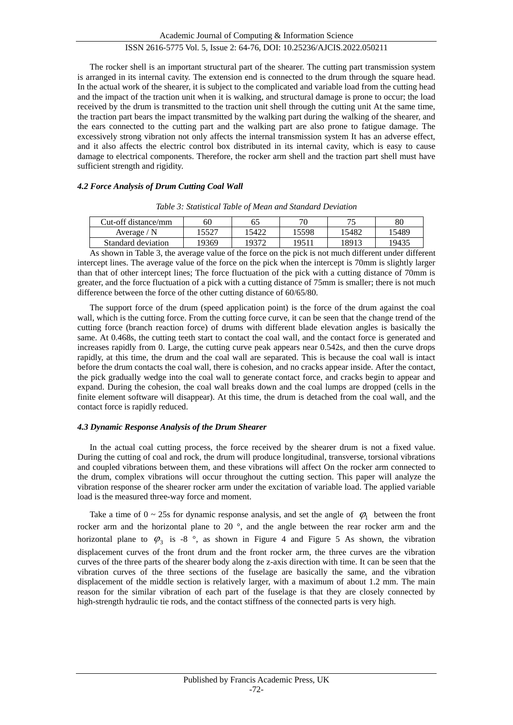The rocker shell is an important structural part of the shearer. The cutting part transmission system is arranged in its internal cavity. The extension end is connected to the drum through the square head. In the actual work of the shearer, it is subject to the complicated and variable load from the cutting head and the impact of the traction unit when it is walking, and structural damage is prone to occur; the load received by the drum is transmitted to the traction unit shell through the cutting unit At the same time, the traction part bears the impact transmitted by the walking part during the walking of the shearer, and the ears connected to the cutting part and the walking part are also prone to fatigue damage. The excessively strong vibration not only affects the internal transmission system It has an adverse effect, and it also affects the electric control box distributed in its internal cavity, which is easy to cause damage to electrical components. Therefore, the rocker arm shell and the traction part shell must have sufficient strength and rigidity.

## *4.2 Force Analysis of Drum Cutting Coal Wall*

| Cut-off distance/mm | 60   |      | 70    | ワミ    | 80    |
|---------------------|------|------|-------|-------|-------|
| Average / N         | 5527 | 5422 | 15598 | '5482 | 15489 |
| Standard deviation  | 9369 | 9372 | 19511 | 1891? | 19435 |

*Table 3: Statistical Table of Mean and Standard Deviation*

As shown in Table 3, the average value of the force on the pick is not much different under different intercept lines. The average value of the force on the pick when the intercept is 70mm is slightly larger than that of other intercept lines; The force fluctuation of the pick with a cutting distance of 70mm is greater, and the force fluctuation of a pick with a cutting distance of 75mm is smaller; there is not much difference between the force of the other cutting distance of 60/65/80.

The support force of the drum (speed application point) is the force of the drum against the coal wall, which is the cutting force. From the cutting force curve, it can be seen that the change trend of the cutting force (branch reaction force) of drums with different blade elevation angles is basically the same. At 0.468s, the cutting teeth start to contact the coal wall, and the contact force is generated and increases rapidly from 0. Large, the cutting curve peak appears near 0.542s, and then the curve drops rapidly, at this time, the drum and the coal wall are separated. This is because the coal wall is intact before the drum contacts the coal wall, there is cohesion, and no cracks appear inside. After the contact, the pick gradually wedge into the coal wall to generate contact force, and cracks begin to appear and expand. During the cohesion, the coal wall breaks down and the coal lumps are dropped (cells in the finite element software will disappear). At this time, the drum is detached from the coal wall, and the contact force is rapidly reduced.

#### *4.3 Dynamic Response Analysis of the Drum Shearer*

In the actual coal cutting process, the force received by the shearer drum is not a fixed value. During the cutting of coal and rock, the drum will produce longitudinal, transverse, torsional vibrations and coupled vibrations between them, and these vibrations will affect On the rocker arm connected to the drum, complex vibrations will occur throughout the cutting section. This paper will analyze the vibration response of the shearer rocker arm under the excitation of variable load. The applied variable load is the measured three-way force and moment.

Take a time of  $0 \sim 25$ s for dynamic response analysis, and set the angle of  $\varphi_1$  between the front rocker arm and the horizontal plane to 20 °, and the angle between the rear rocker arm and the horizontal plane to  $\varphi_3$  is -8  $\degree$ , as shown in Figure 4 and Figure 5 As shown, the vibration displacement curves of the front drum and the front rocker arm, the three curves are the vibration curves of the three parts of the shearer body along the z-axis direction with time. It can be seen that the vibration curves of the three sections of the fuselage are basically the same, and the vibration displacement of the middle section is relatively larger, with a maximum of about 1.2 mm. The main reason for the similar vibration of each part of the fuselage is that they are closely connected by high-strength hydraulic tie rods, and the contact stiffness of the connected parts is very high.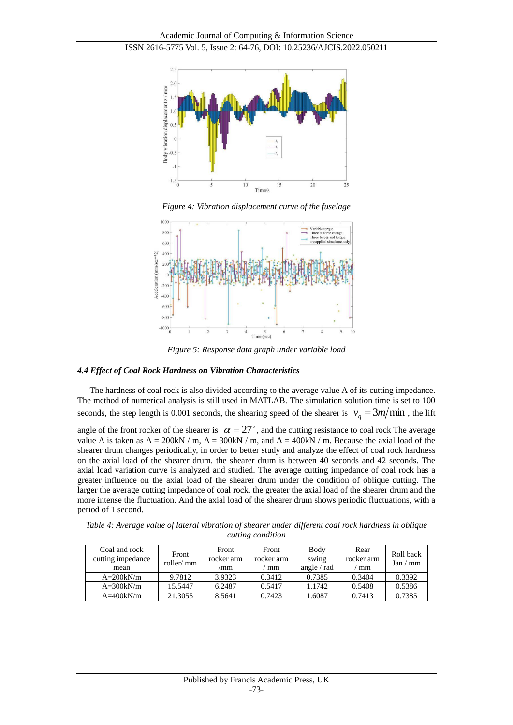

*Figure 4: Vibration displacement curve of the fuselage*



*Figure 5: Response data graph under variable load*

# *4.4 Effect of Coal Rock Hardness on Vibration Characteristics*

The hardness of coal rock is also divided according to the average value A of its cutting impedance. The method of numerical analysis is still used in MATLAB. The simulation solution time is set to 100 seconds, the step length is 0.001 seconds, the shearing speed of the shearer is  $v_q = 3m/\text{min}$ , the lift

angle of the front rocker of the shearer is  $\alpha = 27^{\circ}$ , and the cutting resistance to coal rock The average value A is taken as  $A = 200kN/m$ ,  $A = 300kN/m$ , and  $A = 400kN/m$ . Because the axial load of the shearer drum changes periodically, in order to better study and analyze the effect of coal rock hardness on the axial load of the shearer drum, the shearer drum is between 40 seconds and 42 seconds. The axial load variation curve is analyzed and studied. The average cutting impedance of coal rock has a greater influence on the axial load of the shearer drum under the condition of oblique cutting. The larger the average cutting impedance of coal rock, the greater the axial load of the shearer drum and the more intense the fluctuation. And the axial load of the shearer drum shows periodic fluctuations, with a period of 1 second.

| cutting condition                          |                     |                            |                           |                                |                          |                       |
|--------------------------------------------|---------------------|----------------------------|---------------------------|--------------------------------|--------------------------|-----------------------|
| Coal and rock<br>cutting impedance<br>mean | Front<br>roller/ mm | Front<br>rocker arm<br>'mm | Front<br>rocker arm<br>mm | Body<br>swing<br>angle $/$ rad | Rear<br>rocker arm<br>mm | Roll back<br>Jan / mm |

A=200kN/m | 9.7812 | 3.9323 | 0.3412 | 0.7385 | 0.3404 | 0.3392 A=300kN/m | 15.5447 | 6.2487 | 0.5417 | 1.1742 | 0.5408 | 0.5386 A=400kN/m 21.3055 8.5641 0.7423 1.6087 0.7413 0.7385

*Table 4: Average value of lateral vibration of shearer under different coal rock hardness in oblique cutting condition*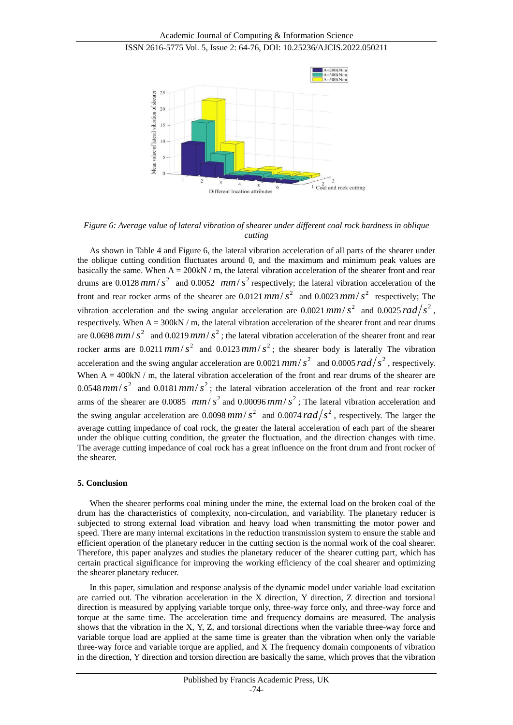



*Figure 6: Average value of lateral vibration of shearer under different coal rock hardness in oblique cutting*

As shown in Table 4 and Figure 6, the lateral vibration acceleration of all parts of the shearer under the oblique cutting condition fluctuates around 0, and the maximum and minimum peak values are basically the same. When  $A = 200kN/m$ , the lateral vibration acceleration of the shearer front and rear drums are 0.0128  $mm/s<sup>2</sup>$  and 0.0052  $mm/s<sup>2</sup>$  respectively; the lateral vibration acceleration of the front and rear rocker arms of the shearer are 0.0121  $mm/s^2$  and 0.0023  $mm/s^2$  respectively; The vibration acceleration and the swing angular acceleration are 0.0021 mm/ $s^2$  and 0.0025 rad/ $s^2$ , respectively. When  $A = 300kN/m$ , the lateral vibration acceleration of the shearer front and rear drums are 0.0698  $mm/s<sup>2</sup>$  and 0.0219  $mm/s<sup>2</sup>$ ; the lateral vibration acceleration of the shearer front and rear rocker arms are 0.0211  $mm/s<sup>2</sup>$  and 0.0123  $mm/s<sup>2</sup>$ ; the shearer body is laterally The vibration acceleration and the swing angular acceleration are 0.0021  $mm/s<sup>2</sup>$  and 0.0005  $rad/s<sup>2</sup>$ , respectively. When  $A = 400kN / m$ , the lateral vibration acceleration of the front and rear drums of the shearer are 0.0548  $mm/s<sup>2</sup>$  and 0.0181  $mm/s<sup>2</sup>$ ; the lateral vibration acceleration of the front and rear rocker arms of the shearer are 0.0085 *mm/s*<sup>2</sup> and 0.00096 *mm/s*<sup>2</sup>; The lateral vibration acceleration and the swing angular acceleration are 0.0098 mm/ $s^2$  and 0.0074 rad/ $s^2$ , respectively. The larger the average cutting impedance of coal rock, the greater the lateral acceleration of each part of the shearer under the oblique cutting condition, the greater the fluctuation, and the direction changes with time. The average cutting impedance of coal rock has a great influence on the front drum and front rocker of the shearer.

#### **5. Conclusion**

When the shearer performs coal mining under the mine, the external load on the broken coal of the drum has the characteristics of complexity, non-circulation, and variability. The planetary reducer is subjected to strong external load vibration and heavy load when transmitting the motor power and speed. There are many internal excitations in the reduction transmission system to ensure the stable and efficient operation of the planetary reducer in the cutting section is the normal work of the coal shearer. Therefore, this paper analyzes and studies the planetary reducer of the shearer cutting part, which has certain practical significance for improving the working efficiency of the coal shearer and optimizing the shearer planetary reducer.

In this paper, simulation and response analysis of the dynamic model under variable load excitation are carried out. The vibration acceleration in the X direction, Y direction, Z direction and torsional direction is measured by applying variable torque only, three-way force only, and three-way force and torque at the same time. The acceleration time and frequency domains are measured. The analysis shows that the vibration in the X, Y, Z, and torsional directions when the variable three-way force and variable torque load are applied at the same time is greater than the vibration when only the variable three-way force and variable torque are applied, and X The frequency domain components of vibration in the direction, Y direction and torsion direction are basically the same, which proves that the vibration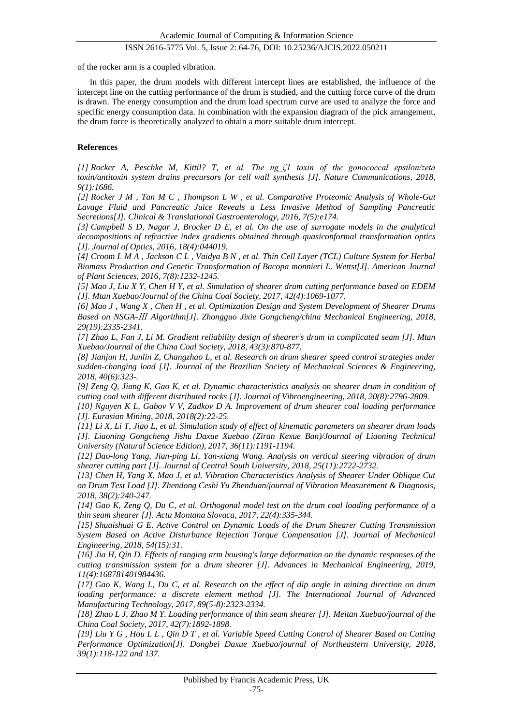of the rocker arm is a coupled vibration.

In this paper, the drum models with different intercept lines are established, the influence of the intercept line on the cutting performance of the drum is studied, and the cutting force curve of the drum is drawn. The energy consumption and the drum load spectrum curve are used to analyze the force and specific energy consumption data. In combination with the expansion diagram of the pick arrangement, the drum force is theoretically analyzed to obtain a more suitable drum intercept.

## **References**

*[1] Rocker A, Peschke M, Kittil? T, et al. The ng\_ζ1 toxin of the gonococcal epsilon/zeta toxin/antitoxin system drains precursors for cell wall synthesis [J]. Nature Communications, 2018, 9(1):1686.*

*[2] Rocker J M , Tan M C , Thompson L W , et al. Comparative Proteomic Analysis of Whole-Gut Lavage Fluid and Pancreatic Juice Reveals a Less Invasive Method of Sampling Pancreatic Secretions[J]. Clinical & Translational Gastroenterology, 2016, 7(5):e174.*

*[3] Campbell S D, Nagar J, Brocker D E, et al. On the use of surrogate models in the analytical decompositions of refractive index gradients obtained through quasiconformal transformation optics [J]. Journal of Optics, 2016, 18(4):044019.*

*[4] Croom L M A , Jackson C L , Vaidya B N , et al. Thin Cell Layer (TCL) Culture System for Herbal Biomass Production and Genetic Transformation of Bacopa monnieri L. Wettst[J]. American Journal of Plant Sciences, 2016, 7(8):1232-1245.*

*[5] Mao J, Liu X Y, Chen H Y, et al. Simulation of shearer drum cutting performance based on EDEM [J]. Mtan Xuebao/Journal of the China Coal Society, 2017, 42(4):1069-1077.*

*[6] Mao J , Wang X , Chen H , et al. Optimization Design and System Development of Shearer Drums Based on NSGA-*Ⅲ *Algorithm[J]. Zhongguo Jixie Gongcheng/china Mechanical Engineering, 2018, 29(19):2335-2341.*

*[7] Zhao L, Fan J, Li M. Gradient reliability design of shearer's drum in complicated seam [J]. Mtan Xuebao/Journal of the China Coal Society, 2018, 43(3):870-877.*

*[8] Jianjun H, Junlin Z, Changzhao L, et al. Research on drum shearer speed control strategies under sudden-changing load [J]. Journal of the Brazilian Society of Mechanical Sciences & Engineering, 2018, 40(6):323-.*

*[9] Zeng Q, Jiang K, Gao K, et al. Dynamic characteristics analysis on shearer drum in condition of cutting coal with different distributed rocks [J]. Journal of Vibroengineering, 2018, 20(8):2796-2809.*

*[10] Nguyen K L, Gabov V V, Zadkov D A. Improvement of drum shearer coal loading performance [J]. Eurasian Mining, 2018, 2018(2):22-25.*

*[11] Li X, Li T, Jiao L, et al. Simulation study of effect of kinematic parameters on shearer drum loads [J]. Liaoning Gongcheng Jishu Daxue Xuebao (Ziran Kexue Ban)/Journal of Liaoning Technical University (Natural Science Edition), 2017, 36(11):1191-1194.*

*[12] Dao-long Yang, Jian-ping Li, Yan-xiang Wang. Analysis on vertical steering vibration of drum shearer cutting part [J]. Journal of Central South University, 2018, 25(11):2722-2732.*

*[13] Chen H, Yang X, Mao J, et al. Vibration Characteristics Analysis of Shearer Under Oblique Cut on Drum Test Load [J]. Zhendong Ceshi Yu Zhenduan/journal of Vibration Measurement & Diagnosis, 2018, 38(2):240-247.*

*[14] Gao K, Zeng Q, Du C, et al. Orthogonal model test on the drum coal loading performance of a thin seam shearer [J]. Acta Montana Slovaca, 2017, 22(4):335-344.*

*[15] Shuaishuai G E. Active Control on Dynamic Loads of the Drum Shearer Cutting Transmission System Based on Active Disturbance Rejection Torque Compensation [J]. Journal of Mechanical Engineering, 2018, 54(15):31.*

*[16] Jia H, Qin D. Effects of ranging arm housing's large deformation on the dynamic responses of the cutting transmission system for a drum shearer [J]. Advances in Mechanical Engineering, 2019, 11(4):168781401984436.*

*[17] Gao K, Wang L, Du C, et al. Research on the effect of dip angle in mining direction on drum loading performance: a discrete element method [J]. The International Journal of Advanced Manufacturing Technology, 2017, 89(5-8):2323-2334.*

*[18] Zhao L J, Zhao M Y. Loading performance of thin seam shearer [J]. Meitan Xuebao/journal of the China Coal Society, 2017, 42(7):1892-1898.*

*[19] Liu Y G , Hou L L , Qin D T , et al. Variable Speed Cutting Control of Shearer Based on Cutting Performance Optimization[J]. Dongbei Daxue Xuebao/journal of Northeastern University, 2018, 39(1):118-122 and 137.*